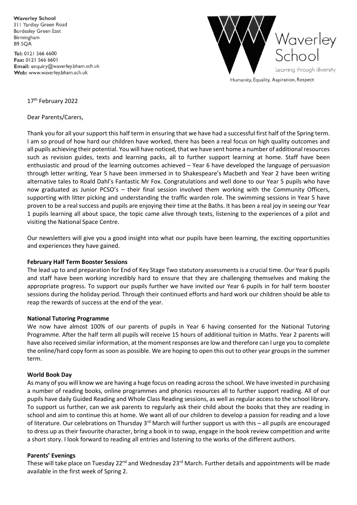**Waverley School** 311 Yardley Green Road **Bordesley Green East** Birmingham **B9 5OA** 

Tel: 0121 566 6600 Fax: 0121 566 6601 Email: enquiry@waverley.bham.sch.uk Web: www.waverley.bham.sch.uk



Humanity, Equality, Aspiration, Respect

17<sup>th</sup> February 2022

Dear Parents/Carers,

Thank you for all your support this half term in ensuring that we have had a successful first half of the Spring term. I am so proud of how hard our children have worked, there has been a real focus on high quality outcomes and all pupils achieving their potential. You will have noticed, that we have sent home a number of additional resources such as revision guides, texts and learning packs, all to further support learning at home. Staff have been enthusiastic and proud of the learning outcomes achieved – Year 6 have developed the language of persuasion through letter writing, Year 5 have been immersed in to Shakespeare's Macbeth and Year 2 have been writing alternative tales to Roald Dahl's Fantastic Mr Fox. Congratulations and well done to our Year 5 pupils who have now graduated as Junior PCSO's – their final session involved them working with the Community Officers, supporting with litter picking and understanding the traffic warden role. The swimming sessions in Year 5 have proven to be a real success and pupils are enjoying their time at the Baths. It has been a real joy in seeing our Year 1 pupils learning all about space, the topic came alive through texts, listening to the experiences of a pilot and visiting the National Space Centre.

Our newsletters will give you a good insight into what our pupils have been learning, the exciting opportunities and experiences they have gained.

## **February Half Term Booster Sessions**

The lead up to and preparation for End of Key Stage Two statutory assessments is a crucial time. Our Year 6 pupils and staff have been working incredibly hard to ensure that they are challenging themselves and making the appropriate progress. To support our pupils further we have invited our Year 6 pupils in for half term booster sessions during the holiday period. Through their continued efforts and hard work our children should be able to reap the rewards of success at the end of the year.

#### **National Tutoring Programme**

We now have almost 100% of our parents of pupils in Year 6 having consented for the National Tutoring Programme. After the half term all pupils will receive 15 hours of additional tuition in Maths. Year 2 parents will have also received similar information, at the moment responses are low and therefore can I urge you to complete the online/hard copy form as soon as possible. We are hoping to open this out to other year groups in the summer term.

#### **World Book Day**

As many of you will know we are having a huge focus on reading across the school. We have invested in purchasing a number of reading books, online programmes and phonics resources all to further support reading. All of our pupils have daily Guided Reading and Whole Class Reading sessions, as well as regular access to the school library. To support us further, can we ask parents to regularly ask their child about the books that they are reading in school and aim to continue this at home. We want all of our children to develop a passion for reading and a love of literature. Our celebrations on Thursday  $3^{rd}$  March will further support us with this – all pupils are encouraged to dress up as their favourite character, bring a book in to swap, engage in the book review competition and write a short story. I look forward to reading all entries and listening to the works of the different authors.

## **Parents' Evenings**

These will take place on Tuesday 22<sup>nd</sup> and Wednesday 23<sup>rd</sup> March. Further details and appointments will be made available in the first week of Spring 2.